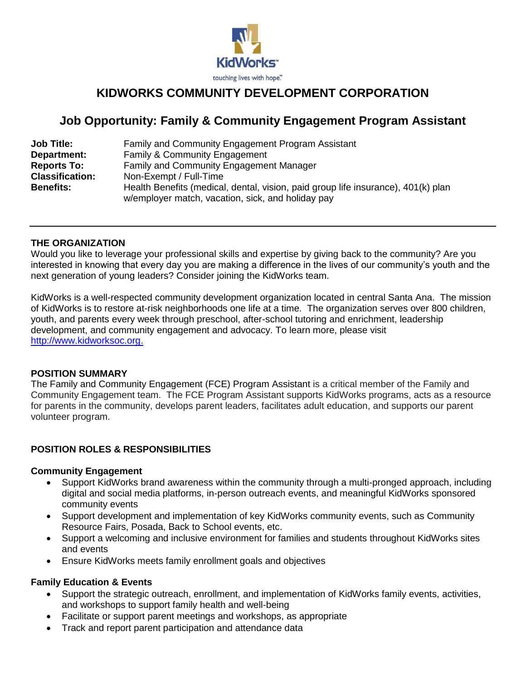

# **KIDWORKS COMMUNITY DEVELOPMENT CORPORATION**

# **Job Opportunity: Family & Community Engagement Program Assistant**

| <b>Job Title:</b>      | Family and Community Engagement Program Assistant                                                                                      |
|------------------------|----------------------------------------------------------------------------------------------------------------------------------------|
| Department:            | <b>Family &amp; Community Engagement</b>                                                                                               |
| <b>Reports To:</b>     | <b>Family and Community Engagement Manager</b>                                                                                         |
| <b>Classification:</b> | Non-Exempt / Full-Time                                                                                                                 |
| <b>Benefits:</b>       | Health Benefits (medical, dental, vision, paid group life insurance), 401(k) plan<br>w/employer match, vacation, sick, and holiday pay |

## **THE ORGANIZATION**

Would you like to leverage your professional skills and expertise by giving back to the community? Are you interested in knowing that every day you are making a difference in the lives of our community's youth and the next generation of young leaders? Consider joining the KidWorks team.

KidWorks is a well-respected community development organization located in central Santa Ana. The mission of KidWorks is to restore at-risk neighborhoods one life at a time. The organization serves over 800 children, youth, and parents every week through preschool, after-school tutoring and enrichment, leadership development, and community engagement and advocacy. To learn more, please visit [http://www.kidworksoc.org.](http://www.kidworksoc.org/)

## **POSITION SUMMARY**

The Family and Community Engagement (FCE) Program Assistant is a critical member of the Family and Community Engagement team. The FCE Program Assistant supports KidWorks programs, acts as a resource for parents in the community, develops parent leaders, facilitates adult education, and supports our parent volunteer program.

# **POSITION ROLES & RESPONSIBILITIES**

### **Community Engagement**

- Support KidWorks brand awareness within the community through a multi-pronged approach, including digital and social media platforms, in-person outreach events, and meaningful KidWorks sponsored community events
- Support development and implementation of key KidWorks community events, such as Community Resource Fairs, Posada, Back to School events, etc.
- Support a welcoming and inclusive environment for families and students throughout KidWorks sites and events
- Ensure KidWorks meets family enrollment goals and objectives

### **Family Education & Events**

- Support the strategic outreach, enrollment, and implementation of KidWorks family events, activities, and workshops to support family health and well-being
- Facilitate or support parent meetings and workshops, as appropriate
- Track and report parent participation and attendance data